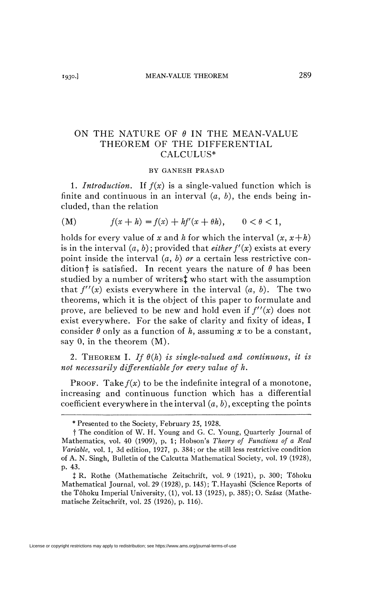## ON THE NATURE OF  $\theta$  IN THE MEAN-VALUE THEOREM OF THE DIFFERENTIAL CALCULUS\*

## BY GANESH PRASAD

1. *Introduction.* If *f(x)* is a single-valued function which is finite and continuous in an interval (a, *b),* the ends being included, than the relation

(M) 
$$
f(x+h) = f(x) + hf'(x + \theta h), \quad 0 < \theta < 1,
$$

holds for every value of x and h for which the interval  $(x, x+h)$ is in the interval  $(a, b)$ ; provided that *either*  $f'(x)$  exists at every point inside the interval (a, *b) or* a certain less restrictive condition<sup>†</sup> is satisfied. In recent years the nature of  $\theta$  has been studied by a number of writers<sup>†</sup> who start with the assumption that  $f''(x)$  exists everywhere in the interval  $(a, b)$ . The two theorems, which it is the object of this paper to formulate and prove, are believed to be new and hold even if *f"(x)* does not exist everywhere. For the sake of clarity and fixity of ideas, I consider  $\theta$  only as a function of  $h$ , assuming  $x$  to be a constant, say 0, in the theorem (M).

2. THEOREM I. If  $\theta(h)$  is single-valued and continuous, it is *not necessarily differentiable for every value of h.* 

PROOF. Take  $f(x)$  to be the indefinite integral of a monotone, increasing and continuous function which has a differential coefficient everywhere in the interval  $(a, b)$ , excepting the points

<sup>\*</sup> Presented to the Society, February 25, 1928.

f The condition of W. H. Young and G. C. Young, Quarterly Journal of Mathematics, vol. 40 (1909), p. 1; Hobson's *Theory of Functions of a Real Variable,* vol. 1, 3d edition, 1927, p. 384; or the still less restrictive condition of A. N. Singh, Bulletin of the Calcutta Mathematical Society, vol. 19 (1928), p. 43.

*i* R. Rothe (Mathematische Zeitschrift, vol. 9 (1921), p. 300; Tôhoku Mathematical Journal, vol. 29 (1928), p. 145); T.Hayashi (Science Reports of the Tôhoku Imperial University, (1), vol. 13 (1925), p. 385); O. Szász (Mathematische Zeitschrift, vol. 25 (1926), p. 116).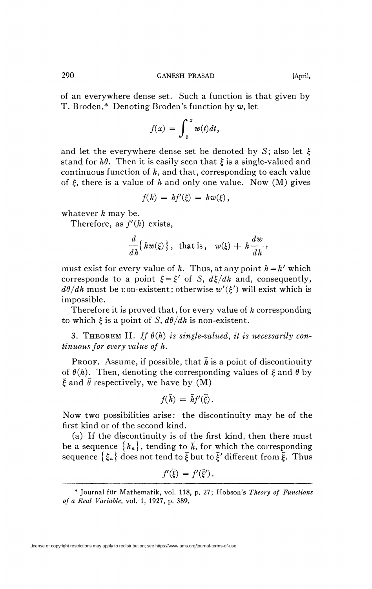290 GANESH PRASAD [April,

of an everywhere dense set. Such a function is that given by T. Broden.\* Denoting Broden's function by *w,* let

$$
f(x) = \int_0^x w(t) dt,
$$

and let the everywhere dense set be denoted by S; also let  $\xi$ stand for  $h\theta$ . Then it is easily seen that  $\xi$  is a single-valued and continuous function of *h,* and that, corresponding to each value of  $\xi$ , there is a value of h and only one value. Now  $(M)$  gives

$$
f(h) = hf'(\xi) = hw(\xi),
$$

whatever *h* may be.

Therefore, as  $f'(h)$  exists,

$$
\frac{d}{dh}\{hw(\xi)\},\ \text{that is,}\ \ w(\xi)+h\frac{dw}{dh},
$$

must exist for every value of  $h$ . Thus, at any point  $h = h'$  which corresponds to a point  $\xi = \xi'$  of *S*,  $d\xi/dh$  and, consequently,  $d\theta/dh$  must be non-existent; otherwise  $w'(\xi')$  will exist which is impossible.

Therefore it is proved that, for every value of *h* corresponding to which  $\xi$  is a point of S,  $d\theta/dh$  is non-existent.

3. THEOREM II. If  $\theta(h)$  is single-valued, it is necessarily con*tinuous for every value of h.* 

**PROOF.** Assume, if possible, that  $\bar{h}$  is a point of discontinuity of  $\theta(h)$ . Then, denoting the corresponding values of  $\xi$  and  $\theta$  by  $\bar{\xi}$  and  $\bar{\theta}$  respectively, we have by (M)

$$
f(\bar{h}) = \bar{h}f'(\bar{\xi}).
$$

Now two possibilities arise: the discontinuity may be of the first kind or of the second kind.

(a) If the discontinuity is of the first kind, then there must be a sequence  ${h_n}$ , tending to  $\bar{h}$ , for which the corresponding sequence  $\{\xi_n\}$  does not tend to  $\bar{\xi}$  but to  $\bar{\xi}'$  different from  $\bar{\xi}$ . Thus

$$
f'(\bar{\xi}) = f'(\bar{\xi}').
$$

<sup>\*</sup> Journal fiir Mathematik, vol. 118, p. 27; Hobson's *Theory of Functions of a Real Variable,* vol. 1, 1927, p. 389.